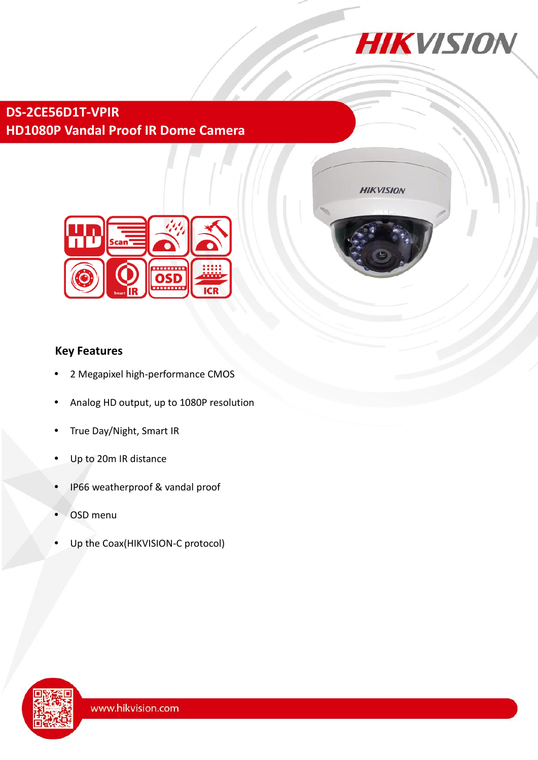

**HIKVISION** 

# **DS-2CE56D1T-VPIR HD1080P Vandal Proof IR Dome Camera**



## **Key Features**

- 2 Megapixel high-performance CMOS
- Analog HD output, up to 1080P resolution
- True Day/Night, Smart IR
- Up to 20m IR distance
- IP66 weatherproof & vandal proof
- OSD menu
- Up the Coax(HIKVISION-C protocol)

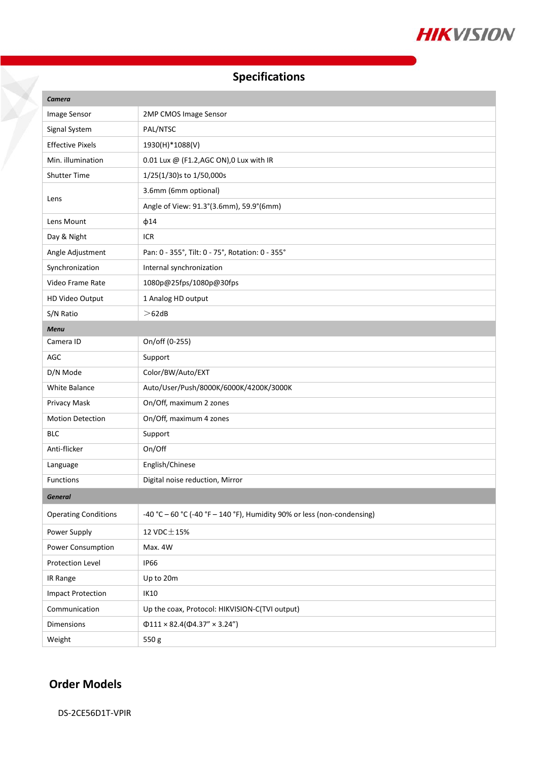

# **Specifications**

| Camera                      |                                                                         |
|-----------------------------|-------------------------------------------------------------------------|
| Image Sensor                | 2MP CMOS Image Sensor                                                   |
| Signal System               | PAL/NTSC                                                                |
| <b>Effective Pixels</b>     | 1930(H)*1088(V)                                                         |
| Min. illumination           | 0.01 Lux @ (F1.2, AGC ON), 0 Lux with IR                                |
| <b>Shutter Time</b>         | 1/25(1/30)s to 1/50,000s                                                |
| Lens                        | 3.6mm (6mm optional)                                                    |
|                             | Angle of View: 91.3°(3.6mm), 59.9°(6mm)                                 |
| Lens Mount                  | $\phi$ 14                                                               |
| Day & Night                 | <b>ICR</b>                                                              |
| Angle Adjustment            | Pan: 0 - 355°, Tilt: 0 - 75°, Rotation: 0 - 355°                        |
| Synchronization             | Internal synchronization                                                |
| Video Frame Rate            | 1080p@25fps/1080p@30fps                                                 |
| HD Video Output             | 1 Analog HD output                                                      |
| S/N Ratio                   | >62dB                                                                   |
| <b>Menu</b>                 |                                                                         |
| Camera ID                   | On/off (0-255)                                                          |
| AGC                         | Support                                                                 |
| D/N Mode                    | Color/BW/Auto/EXT                                                       |
| White Balance               | Auto/User/Push/8000K/6000K/4200K/3000K                                  |
| Privacy Mask                | On/Off, maximum 2 zones                                                 |
| <b>Motion Detection</b>     | On/Off, maximum 4 zones                                                 |
| <b>BLC</b>                  | Support                                                                 |
| Anti-flicker                | On/Off                                                                  |
| Language                    | English/Chinese                                                         |
| Functions                   | Digital noise reduction, Mirror                                         |
| <b>General</b>              |                                                                         |
| <b>Operating Conditions</b> | -40 °C - 60 °C (-40 °F - 140 °F), Humidity 90% or less (non-condensing) |
| Power Supply                | 12 VDC $\pm$ 15%                                                        |
| Power Consumption           | Max. 4W                                                                 |
| Protection Level            | <b>IP66</b>                                                             |
| IR Range                    | Up to 20m                                                               |
| <b>Impact Protection</b>    | IK10                                                                    |
| Communication               | Up the coax, Protocol: HIKVISION-C(TVI output)                          |
| Dimensions                  | $\Phi$ 111 × 82.4( $\Phi$ 4.37" × 3.24")                                |
| Weight                      | 550g                                                                    |

## **Order Models**

X

DS-2CE56D1T-VPIR